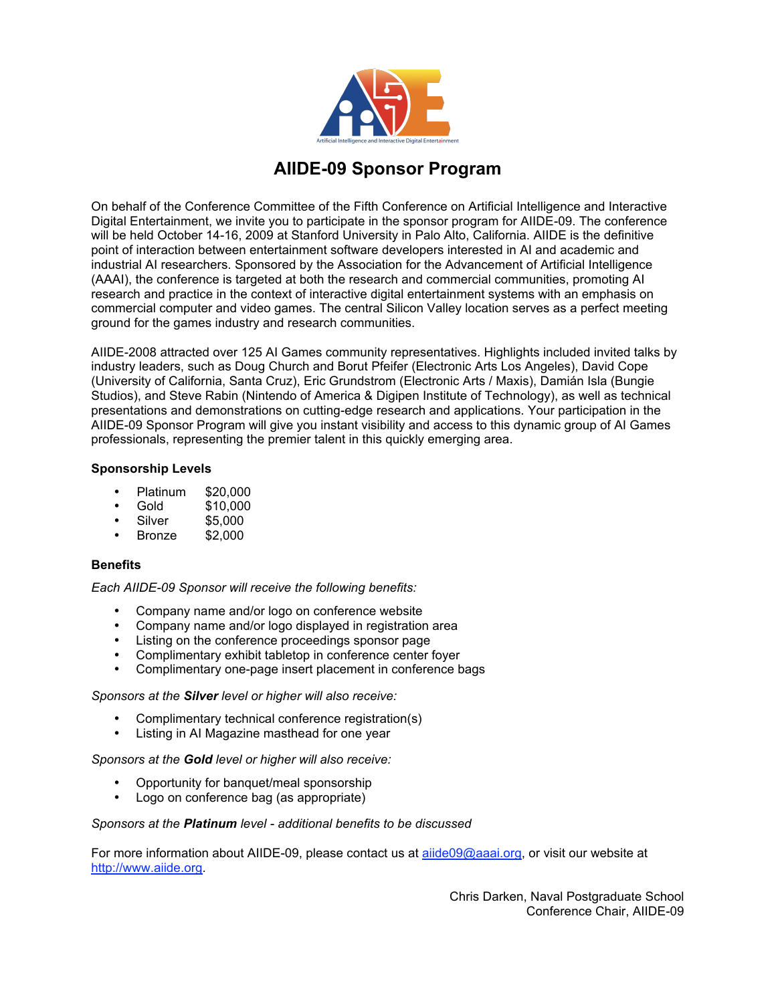

# **AIIDE-09 Sponsor Program**

On behalf of the Conference Committee of the Fifth Conference on Artificial Intelligence and Interactive Digital Entertainment, we invite you to participate in the sponsor program for AIIDE-09. The conference will be held October 14-16, 2009 at Stanford University in Palo Alto, California. AIIDE is the definitive point of interaction between entertainment software developers interested in AI and academic and industrial AI researchers. Sponsored by the Association for the Advancement of Artificial Intelligence (AAAI), the conference is targeted at both the research and commercial communities, promoting AI research and practice in the context of interactive digital entertainment systems with an emphasis on commercial computer and video games. The central Silicon Valley location serves as a perfect meeting ground for the games industry and research communities.

AIIDE-2008 attracted over 125 AI Games community representatives. Highlights included invited talks by industry leaders, such as Doug Church and Borut Pfeifer (Electronic Arts Los Angeles), David Cope (University of California, Santa Cruz), Eric Grundstrom (Electronic Arts / Maxis), Damián Isla (Bungie Studios), and Steve Rabin (Nintendo of America & Digipen Institute of Technology), as well as technical presentations and demonstrations on cutting-edge research and applications. Your participation in the AIIDE-09 Sponsor Program will give you instant visibility and access to this dynamic group of AI Games professionals, representing the premier talent in this quickly emerging area.

# **Sponsorship Levels**

- Platinum \$20,000
- Gold \$10,000
- $$5,000$ <br> $$2,000$
- **Bronze**

### **Benefits**

*Each AIIDE-09 Sponsor will receive the following benefits:*

- Company name and/or logo on conference website
- Company name and/or logo displayed in registration area
- Listing on the conference proceedings sponsor page
- Complimentary exhibit tabletop in conference center foyer
- Complimentary one-page insert placement in conference bags

#### *Sponsors at the Silver level or higher will also receive:*

- Complimentary technical conference registration(s)
- Listing in AI Magazine masthead for one year

# *Sponsors at the Gold level or higher will also receive:*

- Opportunity for banquet/meal sponsorship
- Logo on conference bag (as appropriate)

#### *Sponsors at the Platinum level - additional benefits to be discussed*

For more information about AIIDE-09, please contact us at aiide09@aaai.org, or visit our website at http://www.aiide.org.

> Chris Darken, Naval Postgraduate School Conference Chair, AIIDE-09